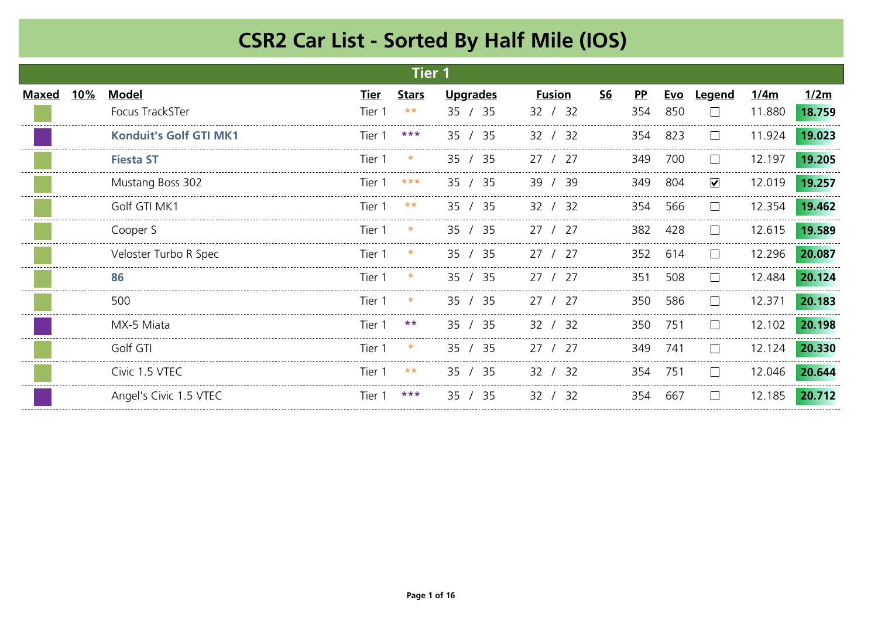|              |     |                               |             | <b>Tier 1</b> |                 |               |    |              |            |                      |        |        |
|--------------|-----|-------------------------------|-------------|---------------|-----------------|---------------|----|--------------|------------|----------------------|--------|--------|
| <b>Maxed</b> | 10% | <b>Model</b>                  | <u>Tier</u> | <b>Stars</b>  | <b>Upgrades</b> | <b>Fusion</b> | S6 | $\mathbf{P}$ | <u>Evo</u> | <u>Legend</u>        | 1/4m   | 1/2m   |
|              |     | Focus TrackSTer               | Tier 1      | $***$         | 35<br>/35       | 32 / 32       |    | 354          | 850        | $\mathbf{L}$         | 11.880 | 18.759 |
|              |     | <b>Konduit's Golf GTI MK1</b> | Tier 1      | ***           | 35 / 35         | 32 / 32       |    | 354          | 823        | $\mathbf{L}$         | 11.924 | 19.023 |
|              |     | <b>Fiesta ST</b>              | Tier 1      |               | 35 / 35         | 127<br>27     |    | 349          | 700        | $\Box$               | 12.197 | 19.205 |
|              |     | Mustang Boss 302              | Tier 1      | ***           | 35 / 35         | - 39<br>39    |    | 349          | 804        | $\blacktriangledown$ | 12.019 | 19.257 |
|              |     | Golf GTI MK1                  | Tier 1      | $* *$         | 35 / 35         | - 32<br>32    |    | 354          | -566       |                      | 12.354 | 19.462 |
|              |     | Cooper S                      | Tier 1      | *             | 35 / 35         | 27 / 27       |    | 382          | 428        | $\perp$              | 12.615 | 19.589 |
|              |     | Veloster Turbo R Spec         | Tier 1      | *             | 35 / 35         | 27<br>/27     |    | 352          | 614        | $\mathbf{L}$         | 12.296 | 20.087 |
|              |     | 86                            | Tier 1      | $\ast$        | 35 / 35         | 27 / 27       |    | 351          | 508        | $\perp$              | 12.484 | 20.124 |
|              |     | 500                           | Tier 1      | $\ast$        | 35 / 35         | 27 / 27       |    | 350          | 586        | $\perp$              | 12.371 | 20.183 |
|              |     | MX-5 Miata                    | Tier 1      | $***$         | 35 / 35         | 32<br>32 I    |    | 350          | 751        | $\perp$              | 12.102 | 20.198 |
|              |     | Golf GTI                      | Tier 1      | *             | 35 / 35         | 27 / 27       |    | 349          | 741        | $\perp$              | 12.124 | 20.330 |
|              |     | Civic 1.5 VTEC                | Tier 1      | $***$         | 35 / 35         | 32 / 32       |    | 354          | 751        | $\perp$              | 12.046 | 20.644 |
|              |     | Angel's Civic 1.5 VTEC        | Tier 1      | ***           | 35 / 35         | 32<br>/32     |    | 354          | 667        | $\mathbf{L}$         | 12.185 | 20.712 |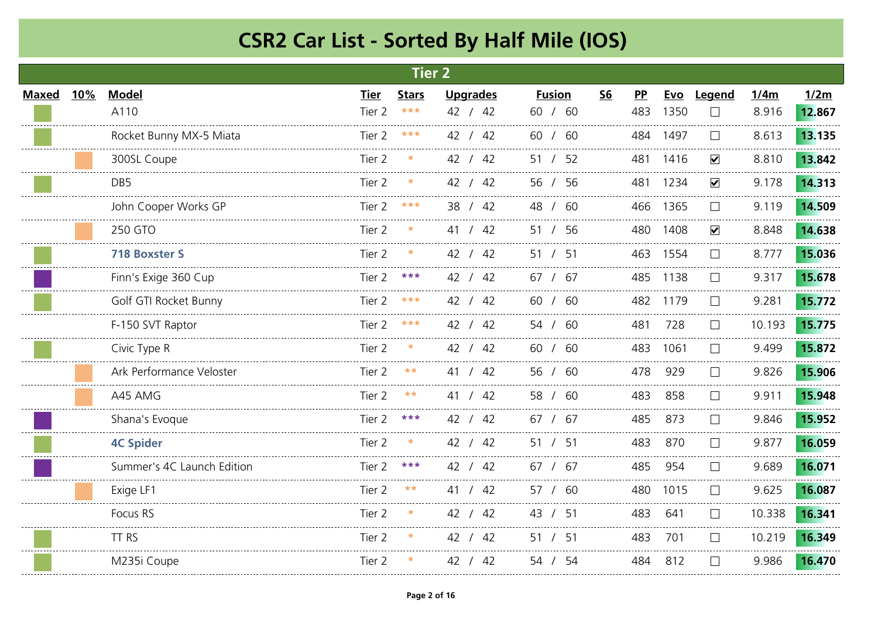|              |     |                            |                   | <b>Tier 2</b> |                 |               |           |     |          |                      |        |        |
|--------------|-----|----------------------------|-------------------|---------------|-----------------|---------------|-----------|-----|----------|----------------------|--------|--------|
| <b>Maxed</b> | 10% | <b>Model</b>               | Tier              | <b>Stars</b>  | <b>Upgrades</b> | <b>Fusion</b> | <b>S6</b> | PP  | Evo      | Legend               | 1/4m   | 1/2m   |
|              |     | A110                       | Tier 2            | $***$         | 42 / 42         | 60 / 60       |           | 483 | 1350     | $\Box$               | 8.916  | 12.867 |
|              |     | Rocket Bunny MX-5 Miata    | Tier 2            | ***           | 42 / 42         | 60 / 60       |           |     | 484 1497 | $\mathbf{L}$         | 8.613  | 13.135 |
|              |     | 300SL Coupe                | Tier 2            |               | 42 / 42         | 51 / 52       |           | 481 | 1416     | $\checkmark$         | 8.810  | 13.842 |
|              |     | DB <sub>5</sub>            | Tier <sub>2</sub> |               | 42 / 42         | 56 / 56       |           | 481 | 1234     | $\blacktriangledown$ | 9.178  | 14.313 |
|              |     | John Cooper Works GP       | Tier 2            |               | 38 / 42         | 48 / 60       |           |     | 466 1365 |                      | 9.119  | 14.509 |
|              |     | 250 GTO                    | Tier 2            |               | 41 / 42         | 51 / 56       |           | 480 | 1408     | $\checkmark$         | 8.848  | 14.638 |
|              |     | <b>718 Boxster S</b>       | Tier 2            |               | 42 / 42         | 51 / 51       |           |     | 463 1554 | $\vert \ \ \vert$    | 8.777  | 15.036 |
|              |     | Finn's Exige 360 Cup       | Tier 2            | ***           | 42 / 42         | 67 / 67       |           | 485 | 1138     |                      | 9.317  | 15.678 |
|              |     | Golf GTI Rocket Bunny      | Tier 2            |               | 42 / 42         | 60 / 60       |           |     | 482 1179 |                      | 9.281  | 15.772 |
|              |     | F-150 SVT Raptor           | Tier 2            | ***           | 42 / 42         | 54 / 60       |           | 481 | 728      | $\vert \ \ \vert$    | 10.193 | 15.775 |
|              |     | Civic Type R               | Tier 2            | $\ast$        | 42 / 42         | 60 / 60       |           | 483 | 1061     | $\Box$               | 9.499  | 15.872 |
|              |     | Ark Performance Veloster   | Tier 2            | $* *$         | 41 / 42         | 56 / 60       |           | 478 | 929      | $\vert \ \ \vert$    | 9.826  | 15.906 |
|              |     | A45 AMG                    | Tier <sub>2</sub> | $* *$         | /42<br>41       | 58 / 60       |           | 483 | 858      |                      | 9.911  | 15.948 |
|              |     | Shana's Evoque             | Tier 2            | ***           | 42 / 42         | 67 / 67       |           | 485 | 873      | $\vert \ \ \vert$    | 9.846  | 15.952 |
|              |     | <b>4C Spider</b>           | Tier 2            |               | 42 / 42         | 51<br>/51     |           | 483 | 870      | $\mathbf{I}$         | 9.877  | 16.059 |
|              |     | Summer's 4C Launch Edition | Tier 2            | ***           | 42 / 42         | 67 / 67       |           | 485 | 954      | $\mathbf{I}$         | 9.689  | 16.071 |
|              |     | Exige LF1                  | Tier 2            | $***$         | 41 / 42         | 57 / 60       |           | 480 | 1015     | $\mathbf{I}$         | 9.625  | 16.087 |
|              |     | Focus RS                   | Tier 2            | $\ast$        | 42 / 42         | 43 / 51       |           | 483 | 641      | $\Box$               | 10.338 | 16.341 |
|              |     | TT RS                      | Tier 2            |               | 42 / 42         | 51 / 51       |           | 483 | 701      | $\mathbf{I}$         | 10.219 | 16.349 |
|              |     | M235i Coupe                | Tier 2            |               | 42 / 42         | 54 / 54       |           | 484 | 812      | $\mathbf{L}$         | 9.986  | 16.470 |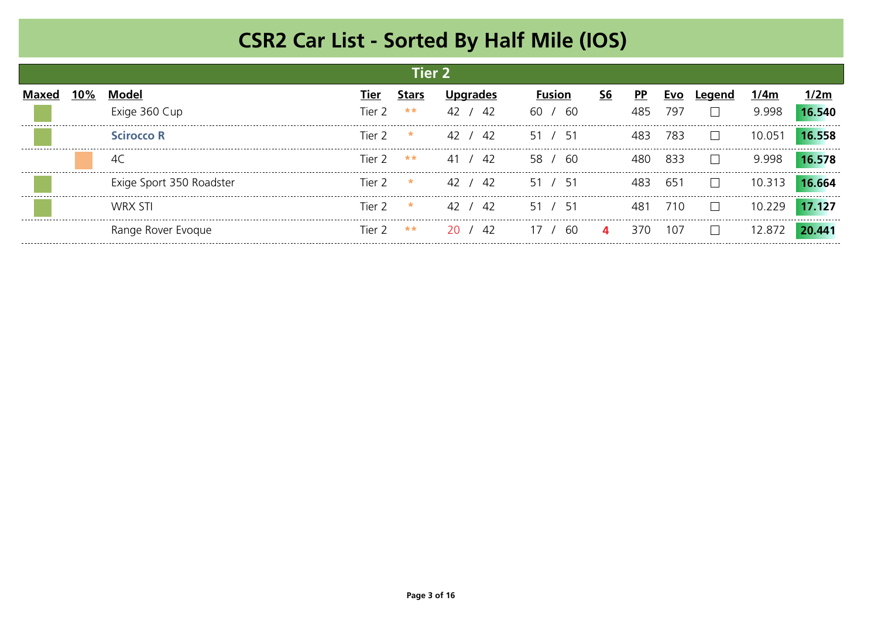|     |                          |                      | Tier 2  |           |               |                |           |      |        |        |
|-----|--------------------------|----------------------|---------|-----------|---------------|----------------|-----------|------|--------|--------|
| 10% | Model                    | Tier                 | Stars   |           | <b>Fusion</b> | S <sub>6</sub> | <b>PP</b> | EVC  | 1/4m   | 2m     |
|     | Exige 360 Cup            | Tier 2.              | $***$   | 42<br>42  | -60<br>-60    |                | 485       | 797  | 9.998  | 16.540 |
|     | <b>Scirocco R</b>        | Tier 2               | $\star$ | 42 / 42   | 51 / 51       |                | 483       | 783  | 10.051 |        |
|     |                          | Tier 2               | **      | 41 / 42   | ഹ<br>-58 -    |                | 480.      | 833  | 9.998  |        |
|     | Exige Sport 350 Roadster | lier 2               | $\star$ | 42<br>-42 | 51<br>51      |                |           | 651  | 10 313 | 16.664 |
|     | WRX STI                  | Tier $7 \cdot \cdot$ |         | /42<br>42 | 51/<br>່ 51   |                |           | 71 O | 10 229 | 17.127 |
|     | Range Rover Evoque       | Tier 2               | **      | /42<br>20 | 60            | 4              | 370.      | 107  | 12.872 | AА     |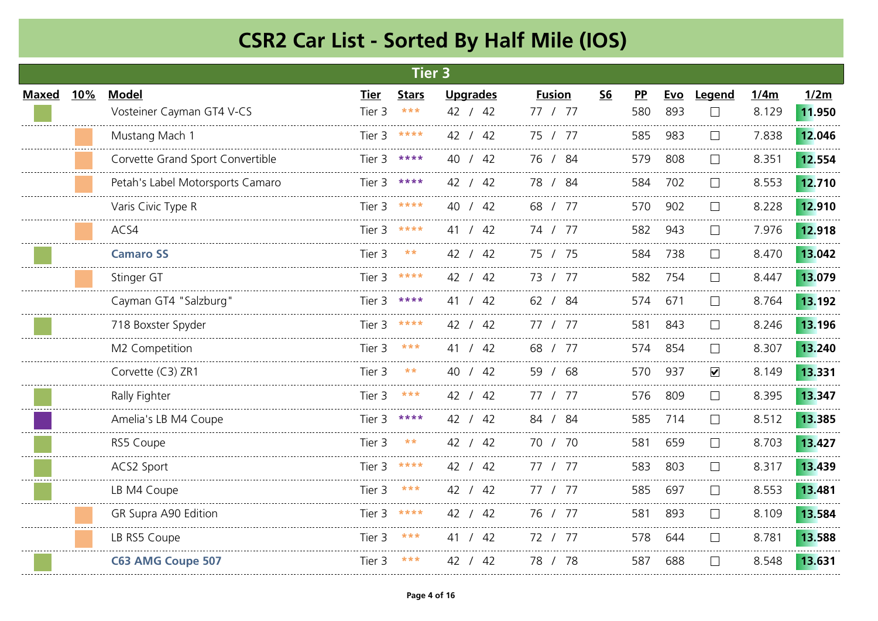|              |            |                                  |             | <b>Tier 3</b> |                 |               |           |           |     |                      |       |        |
|--------------|------------|----------------------------------|-------------|---------------|-----------------|---------------|-----------|-----------|-----|----------------------|-------|--------|
| <b>Maxed</b> | <b>10%</b> | <b>Model</b>                     | <b>Tier</b> | <b>Stars</b>  | <b>Upgrades</b> | <b>Fusion</b> | <b>S6</b> | <b>PP</b> | Evo | Legend               | 1/4m  | 1/2m   |
|              |            | Vosteiner Cayman GT4 V-CS        | Tier 3      | $* * *$       | 42 / 42         | 77 / 77       |           | 580       | 893 | $\Box$               | 8.129 | 11.950 |
|              |            | Mustang Mach 1                   |             | Tier $3$ **** | 42 / 42         | 75 / 77       |           | 585       | 983 | $\mathbf{L}$         | 7.838 | 12.046 |
|              |            | Corvette Grand Sport Convertible | Tier 3      | ****          | 40 / 42         | 76 / 84       |           | 579       | 808 | $\Box$               | 8.351 | 12.554 |
|              |            | Petah's Label Motorsports Camaro | Tier 3      | ****          | 42 / 42         | 78 / 84       |           | 584       | 702 |                      | 8.553 | 12.710 |
|              |            | Varis Civic Type R               | Tier 3      |               | 40 / 42         | 68 / 77       |           | 570       | 902 |                      | 8.228 | 12.910 |
|              |            | ACS4                             | Tier 3      | ****          | 41 / 42         | 74 / 77       |           | 582       | 943 |                      | 7.976 | 12.918 |
|              |            | <b>Camaro SS</b>                 | Tier 3      | $\star\star$  | 42 / 42         | 75 / 75       |           | 584       | 738 | $\mathbf{L}$         | 8.470 | 13.042 |
|              |            | Stinger GT                       | Tier 3      | ****          | 42 / 42         | 73 / 77       |           | 582       | 754 |                      | 8.447 | 13.079 |
|              |            | Cayman GT4 "Salzburg"            | Tier 3      | ****          | 41 / 42         | 62 / 84       |           | 574       | 671 |                      | 8.764 | 13.192 |
|              |            | 718 Boxster Spyder               | Tier 3      | ****          | 42 / 42         | 77 / 77       |           | 581       | 843 | $\mathbf{L}$         | 8.246 | 13.196 |
|              |            | M2 Competition                   | Tier 3      | ***           | 41 / 42         | 68 / 77       |           | 574       | 854 | $\perp$              | 8.307 | 13.240 |
|              |            | Corvette (C3) ZR1                | Tier 3      | **            | 40 / 42         | 59 / 68       |           | 570       | 937 | $\blacktriangledown$ | 8.149 | 13.331 |
|              |            | Rally Fighter                    | Tier 3      | ***           | 42 / 42         | 77 / 77       |           | 576       | 809 |                      | 8.395 | 13.347 |
|              |            | Amelia's LB M4 Coupe             | Tier 3      | ****          | 42 / 42         | 84 / 84       |           | 585       | 714 | $\Box$               | 8.512 | 13.385 |
|              |            | RS5 Coupe                        | Tier 3      | $***$         | 42 / 42         | 70 / 70       |           | 581       | 659 |                      | 8.703 | 13.427 |
|              |            | ACS2 Sport                       | Tier 3      | ****          | 42 / 42         | 77 / 77       |           | 583       | 803 |                      | 8.317 | 13.439 |
|              |            | LB M4 Coupe                      | Tier 3      | ***           | 42 / 42         | 77 / 77       |           | 585       | 697 |                      | 8.553 | 13.481 |
|              |            | GR Supra A90 Edition             | Tier 3      | ****          | 42 / 42         | 76 / 77       |           | 581       | 893 | $\mathbf{L}$         | 8.109 | 13.584 |
|              |            | LB RS5 Coupe                     | Tier 3      | ***           | 41 / 42         | 72 / 77       |           | 578       | 644 | $\Box$               | 8.781 | 13.588 |
|              |            | <b>C63 AMG Coupe 507</b>         | Tier 3      | ***           | 42 / 42         | 78 / 78       |           | 587       | 688 | $\Box$               | 8.548 | 13.631 |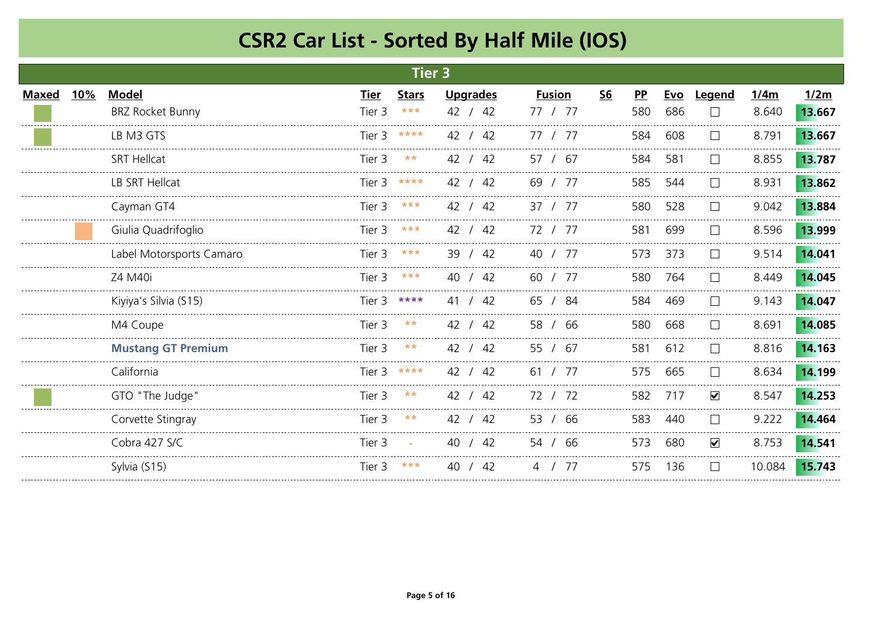|              |     |                                         |                       | Tier 3              |                            |                          |                           |           |                   |                               |               |                |
|--------------|-----|-----------------------------------------|-----------------------|---------------------|----------------------------|--------------------------|---------------------------|-----------|-------------------|-------------------------------|---------------|----------------|
| <b>Maxed</b> | 10% | <b>Model</b><br><b>BRZ Rocket Bunny</b> | <u>Tier</u><br>Tier 3 | <b>Stars</b><br>*** | <b>Upgrades</b><br>42 / 42 | <b>Fusion</b><br>77 / 77 | $\underline{\mathsf{S6}}$ | PP<br>580 | <b>Evo</b><br>686 | <b>Legend</b><br>$\mathbf{I}$ | 1/4m<br>8.640 | 1/2m<br>13.667 |
|              |     | LB M3 GTS                               | Tier 3                | ****                | 42 / 42                    | 77 / 77                  |                           | 584       | 608               |                               | 8.791         | 13.667         |
|              |     | <b>SRT Hellcat</b>                      | Tier 3                | $***$               | 42 / 42                    | 57 / 67                  |                           | 584       | 581               | $\perp$                       | 8.855         | 13.787         |
|              |     | LB SRT Hellcat                          | Tier 3                | ****                | 42 / 42                    | 69 / 77                  |                           | 585       | 544               | $\mathbf{L}$                  | 8.931         | 13.862         |
|              |     | Cayman GT4                              | Tier 3                | $* * *$             | 42 / 42                    | 37 / 77                  |                           | 580       | 528               | $\mathbf{L}$                  | 9.042         | 13.884         |
|              |     | Giulia Quadrifoglio                     | Tier 3                | ***                 | 42 / 42                    | 72 / 77                  |                           | 581       | 699               | $\perp$                       | 8.596         | 13.999         |
|              |     | Label Motorsports Camaro                | Tier 3                | ***                 | 39 / 42                    | 40 / 77                  |                           | 573       | 373               | $\perp$                       | 9.514         | 14.041         |
|              |     | Z4 M40i                                 | Tier 3                | ***                 | 40 / 42                    | 60 / 77                  |                           | 580       | 764               | $\perp$                       | 8.449         | 14.045         |
|              |     | Kiyiya's Silvia (S15)                   | Tier 3                | ****                | 41 / 42                    | 65 / 84                  |                           | 584       | 469               |                               | 9.143         | 14.047         |
|              |     | M4 Coupe                                | Tier 3                | $***$               | 42 / 42                    | 58 / 66                  |                           | 580       | 668               |                               | 8.691         | 14.085         |
|              |     | <b>Mustang GT Premium</b>               | Tier 3                | $***$               | 42 / 42                    | 55 / 67                  |                           | 581       | 612               |                               | 8.816         | 14.163         |
|              |     | California                              | Tier 3                | ****                | 42 / 42                    | 61 / 77                  |                           | 575       | 665               | $\mathbf{L}$                  | 8.634         | 14.199         |
|              |     | GTO "The Judge"                         | Tier 3                | $* *$               | 42 / 42                    | 72 / 72                  |                           | 582       | 717               | $\blacktriangledown$          | 8.547         | 14.253         |
|              |     | Corvette Stingray                       | Tier 3                | $* *$               | 42 / 42                    | 53 / 66                  |                           | 583       | 440               | $\mathbf{L}$                  | 9.222         | 14.464         |
|              |     | Cobra 427 S/C                           | Tier 3                | $\sim$              | 40 / 42                    | 54 / 66                  |                           | 573       | 680               | $\blacktriangledown$          | 8.753         | 14.541         |
|              |     | Sylvia (S15)                            | Tier 3                | $* * *$             | 40<br>/42                  | 4 / 77                   |                           | 575       | 136               | $\perp$                       | 10.084        | 15.743         |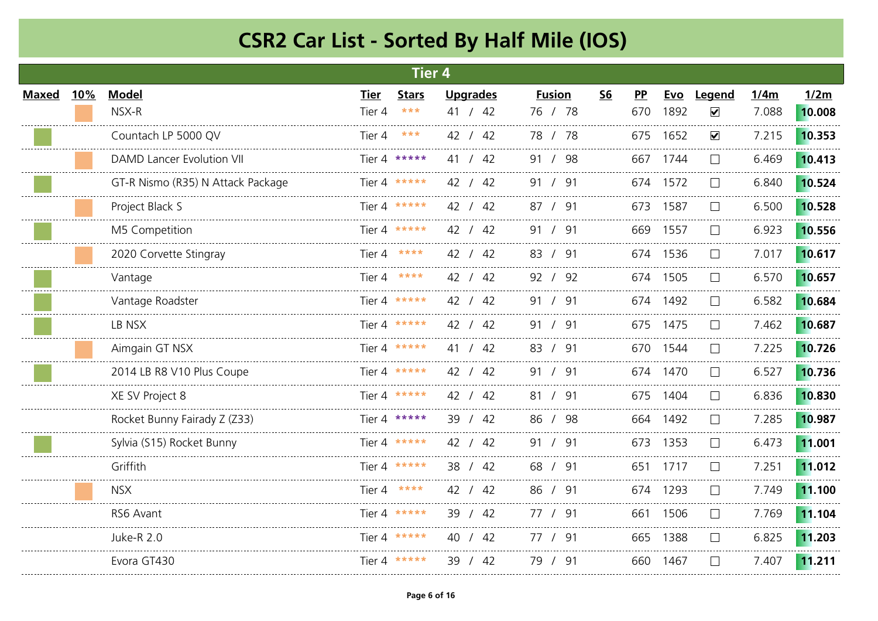|       |     |                                   |        | <b>Tier 4</b>     |                 |               |           |           |          |                      |       |        |
|-------|-----|-----------------------------------|--------|-------------------|-----------------|---------------|-----------|-----------|----------|----------------------|-------|--------|
| Maxed | 10% | <b>Model</b>                      | Tier   | <b>Stars</b>      | <b>Upgrades</b> | <b>Fusion</b> | <b>S6</b> | <b>PP</b> | Evo      | Legend               | 1/4m  | 1/2m   |
|       |     | NSX-R                             | Tier 4 | $\star\star\star$ | 41 / 42         | 76 / 78       |           | 670       | 1892     | $\checkmark$         | 7.088 | 10.008 |
|       |     | Countach LP 5000 QV               | Tier 4 | $* * *$           | 42 / 42         | 78 / 78       |           |           | 675 1652 | $\blacktriangledown$ | 7.215 | 10.353 |
|       |     | <b>DAMD Lancer Evolution VII</b>  |        | Tier 4 *****      | 41 / 42         | 91 / 98       |           | 667       | 1744     | $\mathbf{L}$         | 6.469 | 10.413 |
|       |     | GT-R Nismo (R35) N Attack Package |        | Tier 4 *****      | 42 / 42         | 91 / 91       |           |           | 674 1572 |                      | 6.840 | 10.524 |
|       |     | Project Black S                   |        | Tier 4 *****      | 42 / 42         | 87 / 91       |           |           | 673 1587 |                      | 6.500 | 10.528 |
|       |     | M5 Competition                    |        | Tier 4 *****      | 42 / 42         | 91 / 91       |           |           | 669 1557 | $\mathbf{L}$         | 6.923 | 10.556 |
|       |     | 2020 Corvette Stingray            |        | Tier 4 ****       | 42 / 42         | 83 / 91       |           |           | 674 1536 | $\mathbf{L}$         | 7.017 | 10.617 |
|       |     | Vantage                           |        | Tier 4 ****       | 42 / 42         | 92 / 92       |           |           | 674 1505 |                      | 6.570 | 10.657 |
|       |     | Vantage Roadster                  |        | Tier 4 *****      | 42 / 42         | 91 / 91       |           |           | 674 1492 | $\mathbf{L}$         | 6.582 | 10.684 |
|       |     | LB NSX                            |        | Tier 4 *****      | 42 / 42         | 91 / 91       |           |           | 675 1475 | $\mathbf{L}$         | 7.462 | 10.687 |
|       |     | Aimgain GT NSX                    |        | Tier 4 *****      | 41 / 42         | 83 / 91       |           |           | 670 1544 | $\mathbf{L}$         | 7.225 | 10.726 |
|       |     | 2014 LB R8 V10 Plus Coupe         |        | Tier 4 *****      | 42 / 42         | 91 / 91       |           |           | 674 1470 | $\mathbf{L}$         | 6.527 | 10.736 |
|       |     | XE SV Project 8                   |        | Tier 4 *****      | 42 / 42         | 81 / 91       |           |           | 675 1404 |                      | 6.836 | 10.830 |
|       |     | Rocket Bunny Fairady Z (Z33)      |        | Tier 4 *****      | 39 / 42         | 86 / 98       |           |           | 664 1492 | $\mathbf{L}$         | 7.285 | 10.987 |
|       |     | Sylvia (S15) Rocket Bunny         |        | Tier 4 *****      | 42 / 42         | 91<br>/91     |           | 673       | 1353     |                      | 6.473 | 11.001 |
|       |     | Griffith                          |        | Tier 4 *****      | 38 / 42         | 68 / 91       |           |           | 651 1717 |                      | 7.251 | 11.012 |
|       |     | <b>NSX</b>                        |        | Tier 4 ****       | 42 / 42         | 86 / 91       |           |           | 674 1293 |                      | 7.749 | 11.100 |
|       |     | RS6 Avant                         |        | Tier 4 *****      | 39 / 42         | 77 / 91       |           | 661       | 1506     | $\mathbf{L}$         | 7.769 | 11.104 |
|       |     | <b>Juke-R 2.0</b>                 |        | Tier 4 *****      | 40 / 42         | 77 / 91       |           |           | 665 1388 | $\mathbf{L}$         | 6.825 | 11.203 |
|       |     | Evora GT430                       |        | Tier 4 *****      | 39 / 42         | 79 / 91       |           |           | 660 1467 | $\mathbf{L}$         | 7.407 | 11.211 |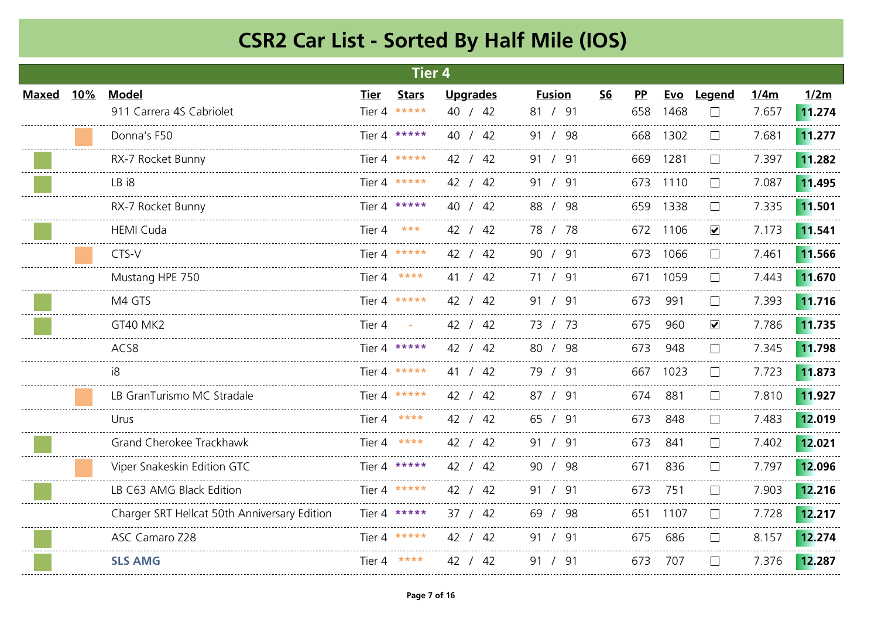|              |            |                                              |             | <b>Tier 4</b> |                 |               |           |     |          |                      |       |        |
|--------------|------------|----------------------------------------------|-------------|---------------|-----------------|---------------|-----------|-----|----------|----------------------|-------|--------|
| <b>Maxed</b> | <u>10%</u> | <b>Model</b>                                 | <b>Tier</b> | <b>Stars</b>  | <b>Upgrades</b> | <b>Fusion</b> | <b>S6</b> | PP  | Evo      | Legend               | 1/4m  | 1/2m   |
|              |            | 911 Carrera 4S Cabriolet                     | Tier 4      | *****         | 40 / 42         | 81 / 91       |           | 658 | 1468     |                      | 7.657 | 11.274 |
|              |            | Donna's F50                                  |             | Tier 4 *****  | 40 / 42         | 91 / 98       |           |     | 668 1302 |                      | 7.681 | 11.277 |
|              |            | RX-7 Rocket Bunny                            |             | Tier 4 *****  | 42 / 42         | 91 / 91       |           | 669 | 1281     | $\mathbf{L}$         | 7.397 | 11.282 |
|              |            | LB i8                                        |             | Tier 4 *****  | 42 / 42         | 91 / 91       |           | 673 | 1110     |                      | 7.087 | 11.495 |
|              |            | RX-7 Rocket Bunny                            |             | Tier 4 *****  | 40 / 42         | 88 / 98       |           |     | 659 1338 |                      | 7.335 | 11.501 |
|              |            | <b>HEMI Cuda</b>                             | Tier 4      | ***           | 42 / 42         | 78 / 78       |           |     | 672 1106 | $\blacktriangledown$ | 7.173 | 11.541 |
|              |            | CTS-V                                        |             | Tier 4 *****  | 42 / 42         | 90 / 91       |           |     | 673 1066 | $\perp$              | 7.461 | 11.566 |
|              |            | Mustang HPE 750                              |             | Tier 4 ****   | 41 / 42         | 71 / 91       |           | 671 | 1059     |                      | 7.443 | 11.670 |
|              |            | M4 GTS                                       |             | Tier 4 *****  | 42 / 42         | 91 / 91       |           | 673 | 991      |                      | 7.393 | 11.716 |
|              |            | <b>GT40 MK2</b>                              | Tier 4      |               | 42 / 42         | 73 / 73       |           | 675 | 960      | $\blacktriangledown$ | 7.786 | 11.735 |
|              |            | ACS8                                         |             | Tier 4 *****  | 42 / 42         | 80 / 98       |           | 673 | 948      | $\Box$               | 7.345 | 11.798 |
|              |            | i8                                           |             | Tier 4 *****  | 41 / 42         | 79 / 91       |           | 667 | 1023     | $\mathbf{L}$         | 7.723 | 11.873 |
|              |            | LB GranTurismo MC Stradale                   |             | Tier 4 *****  | 42 / 42         | 87 / 91       |           | 674 | 881      |                      | 7.810 | 11.927 |
|              |            | Urus                                         |             | Tier 4 ****   | 42 / 42         | 65 / 91       |           | 673 | 848      | $\perp$              | 7.483 | 12.019 |
|              |            | Grand Cherokee Trackhawk                     |             | Tier 4 ****   | 42 / 42         | 91 / 91       |           | 673 | 841      | $\mathbf{L}$         | 7.402 | 12.021 |
|              |            | Viper Snakeskin Edition GTC                  |             | Tier 4 *****  | 42 / 42         | 90 / 98       |           | 671 | 836      |                      | 7.797 | 12.096 |
|              |            | LB C63 AMG Black Edition                     |             | Tier 4 *****  | 42 / 42         | 91 / 91       |           | 673 | 751      |                      | 7.903 | 12.216 |
|              |            | Charger SRT Hellcat 50th Anniversary Edition |             | Tier 4 *****  | 37 / 42         | 69 / 98       |           | 651 | 1107     | $\mathbf{L}$         | 7.728 | 12.217 |
|              |            | ASC Camaro Z28                               |             | Tier 4 *****  | 42 / 42         | 91 / 91       |           | 675 | 686      |                      | 8.157 | 12.274 |
|              |            | <b>SLS AMG</b>                               |             | Tier 4 ****   | 42 / 42         | 91 / 91       |           | 673 | 707      |                      | 7.376 | 12.287 |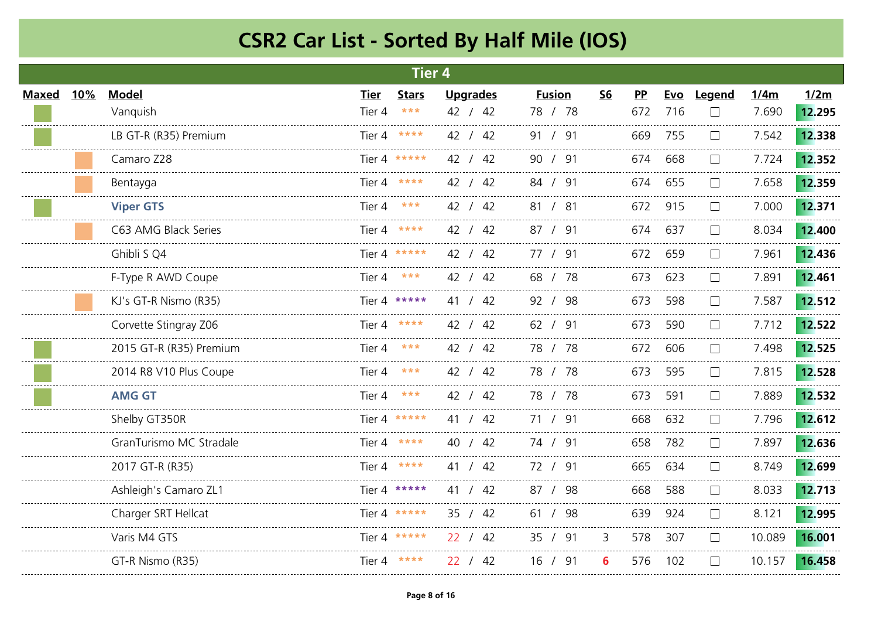|              |            |                         |             | Tier <sub>4</sub> |                 |               |           |     |            |              |        |        |
|--------------|------------|-------------------------|-------------|-------------------|-----------------|---------------|-----------|-----|------------|--------------|--------|--------|
| <b>Maxed</b> | <b>10%</b> | <b>Model</b>            | <b>Tier</b> | <b>Stars</b>      | <b>Upgrades</b> | <b>Fusion</b> | <b>S6</b> | PP  | <u>Evo</u> | Legend       | 1/4m   | 1/2m   |
|              |            | Vanquish                | Tier 4      | $* * *$           | 42 / 42         | 78 / 78       |           | 672 | 716        | $\Box$       | 7.690  | 12.295 |
|              |            | LB GT-R (R35) Premium   |             | Tier 4 ****       | 42 / 42         | 91 / 91       |           | 669 | 755        | $\mathbf{L}$ | 7.542  | 12.338 |
|              |            | Camaro Z28              |             | Tier 4 *****      | 42 / 42         | 90 / 91       |           | 674 | 668        | $\Box$       | 7.724  | 12.352 |
|              |            | Bentayga                | Tier 4      | ****              | 42 / 42         | 84 / 91       |           | 674 | 655        |              | 7.658  | 12.359 |
|              |            | <b>Viper GTS</b>        | Tier 4      |                   | 42 / 42         | 81 / 81       |           | 672 | 915        |              | 7.000  | 12.371 |
|              |            | C63 AMG Black Series    | Tier 4      | ****              | 42 / 42         | 87 / 91       |           | 674 | 637        |              | 8.034  | 12.400 |
|              |            | Ghibli S Q4             |             | Tier 4 *****      | 42 / 42         | 77 / 91       |           | 672 | 659        | $\mathbf{L}$ | 7.961  | 12.436 |
|              |            | F-Type R AWD Coupe      | Tier 4      | ***               | 42 / 42         | 68 / 78       |           | 673 | 623        |              | 7.891  | 12.461 |
|              |            | KJ's GT-R Nismo (R35)   |             | Tier 4 *****      | 41 / 42         | 92 / 98       |           | 673 | 598        |              | 7.587  | 12.512 |
|              |            | Corvette Stingray Z06   |             | Tier 4 $****$     | 42 / 42         | 62 / 91       |           | 673 | 590        | $\mathbf{L}$ | 7.712  | 12.522 |
|              |            | 2015 GT-R (R35) Premium | Tier 4      | ***               | 42 / 42         | 78 / 78       |           | 672 | 606        | $\mathbf{1}$ | 7.498  | 12.525 |
|              |            | 2014 R8 V10 Plus Coupe  | Tier 4      | ***               | 42 / 42         | 78 / 78       |           | 673 | 595        |              | 7.815  | 12.528 |
|              |            | <b>AMG GT</b>           | Tier 4      | ***               | 42 / 42         | 78 / 78       |           | 673 | 591        |              | 7.889  | 12.532 |
|              |            | Shelby GT350R           |             | Tier 4 *****      | 41 / 42         | 71 / 91       |           | 668 | 632        | $\Box$       | 7.796  | 12.612 |
|              |            | GranTurismo MC Stradale | Tier 4      | ****              | 40 / 42         | 74 / 91       |           | 658 | 782        |              | 7.897  | 12.636 |
|              |            | 2017 GT-R (R35)         |             | Tier 4 ****       | 41 / 42         | 72 / 91       |           | 665 | 634        |              | 8.749  | 12.699 |
|              |            | Ashleigh's Camaro ZL1   |             | Tier 4 *****      | 41 / 42         | 87 / 98       |           | 668 | 588        |              | 8.033  | 12.713 |
|              |            | Charger SRT Hellcat     |             | Tier 4 *****      | 35 / 42         | 61 / 98       |           | 639 | 924        | $\mathbf{L}$ | 8.121  | 12.995 |
|              |            | Varis M4 GTS            |             | Tier 4 *****      | 22 / 42         | 35 / 91       | 3         | 578 | 307        | $\Box$       | 10.089 | 16.001 |
|              |            | GT-R Nismo (R35)        |             | Tier 4 ****       | 22 / 42         | 16 / 91       | 6         | 576 | 102        | $\Box$       | 10.157 | 16.458 |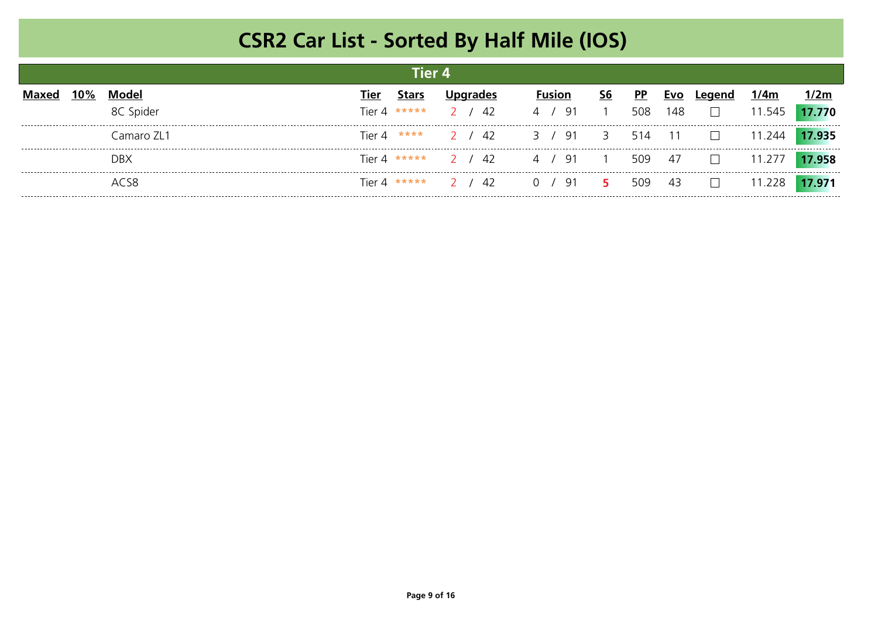|        |            |               | Tier 4       |                     |                                    |                |           |            |               |        |        |
|--------|------------|---------------|--------------|---------------------|------------------------------------|----------------|-----------|------------|---------------|--------|--------|
| $10\%$ | Model      | Tier          | <b>Stars</b> | Und<br>arades       | <b>Fusion</b>                      | S <sub>6</sub> | <b>PP</b> | <b>Evo</b> | Leaend        | 1/4m   | 1/2m   |
|        | 8C Spider  | Tier 4 *****  |              | 2 / 42              | $'$ 91<br>$\frac{4}{1}$            | $\sim$ 1       | 508       | 148        | $\mathbf{I}$  | 11.545 | 17.770 |
|        | Camaro ZL1 | Tier 4 ****   |              | 2 / 42              | $\frac{91}{3}$<br>$\overline{3}$ / |                | 514       | 11         |               | 11.244 | 17.935 |
|        | <b>DBX</b> |               |              | Tier 4 ***** 2 / 42 | ′91<br>4                           | $\overline{1}$ | 509       | 47         | $\mathcal{L}$ | 11 277 | 17.958 |
|        | $AC$ S $8$ | Tier 4 $****$ |              | 2 / 42              | $'$ 91 5<br>$\Omega$               |                | 509       | 43         |               | 11.228 |        |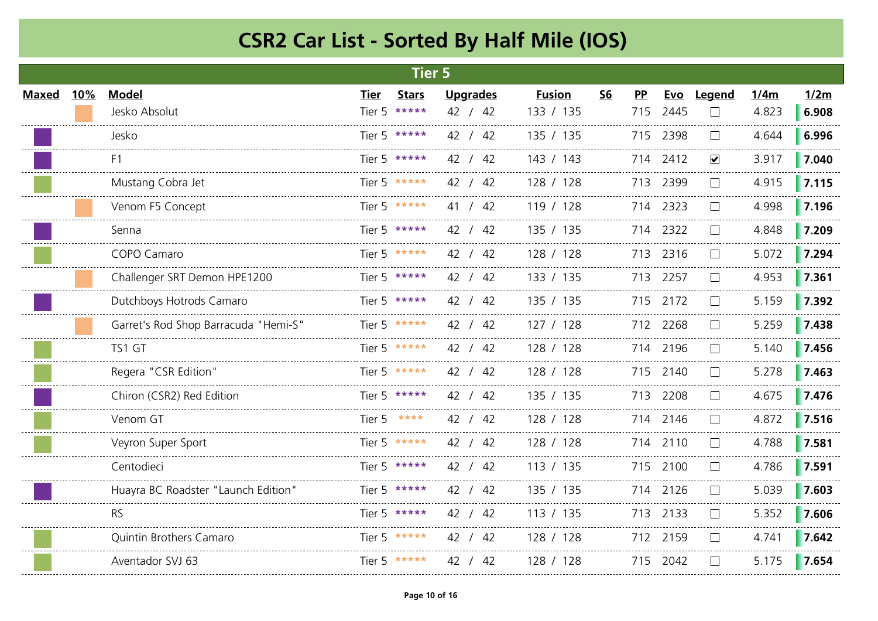|              |     |                                      |      | <b>Tier 5</b> |                 |              |               |           |           |          |                      |       |       |
|--------------|-----|--------------------------------------|------|---------------|-----------------|--------------|---------------|-----------|-----------|----------|----------------------|-------|-------|
| <b>Maxed</b> | 10% | <b>Model</b>                         | Tier | <b>Stars</b>  | <b>Upgrades</b> |              | <b>Fusion</b> | <b>S6</b> | <b>PP</b> | Evo      | Legend               | 1/4m  | 1/2m  |
|              |     | Jesko Absolut                        |      | Tier 5 *****  | 42 / 42         |              | 133 / 135     |           | 715       | 2445     | $\mathbf{I}$         | 4.823 | 6.908 |
|              |     | Jesko                                |      | Tier 5 *****  | 42 / 42         |              | 135 / 135     |           |           | 715 2398 | $\perp$              | 4.644 | 6.996 |
|              |     | F <sub>1</sub>                       |      | Tier 5 *****  | 42 / 42         |              | 143 / 143     |           |           | 714 2412 | $\blacktriangledown$ | 3.917 | 7.040 |
|              |     | Mustang Cobra Jet                    |      | Tier 5 *****  | 42 / 42         |              | 128 / 128     |           | 713       | 2399     | $\Box$               | 4.915 | 7.115 |
|              |     | Venom F5 Concept                     |      | Tier 5 *****  | 41 / 42         |              | 119 / 128     |           |           | 714 2323 |                      | 4.998 | 7.196 |
|              |     | Senna                                |      | Tier 5 *****  | 42 / 42         |              | 135 / 135     |           |           | 714 2322 |                      | 4.848 | 7.209 |
|              |     | COPO Camaro                          |      | Tier 5 *****  | 42 / 42         |              | 128 / 128     |           |           | 713 2316 | $\perp$              | 5.072 | 7.294 |
|              |     | Challenger SRT Demon HPE1200         |      | Tier 5 *****  | 42 / 42         | ------------ | 133 / 135     |           | 713       | 2257     |                      | 4.953 | 7.361 |
|              |     | Dutchboys Hotrods Camaro             |      | Tier 5 *****  | 42 / 42         |              | 135 / 135     |           |           | 715 2172 |                      | 5.159 | 7.392 |
|              |     | Garret's Rod Shop Barracuda "Hemi-S" |      | Tier 5 *****  | 42 / 42         |              | 127 / 128     |           |           | 712 2268 | $\mathsf{L}$         | 5.259 | 7.438 |
|              |     | TS1 GT                               |      | Tier 5 *****  | 42 / 42         |              | 128 / 128     |           |           | 714 2196 | $\perp$              | 5.140 | 7.456 |
|              |     | Regera "CSR Edition"                 |      | Tier 5 *****  | 42 / 42         |              | 128 / 128     |           |           | 715 2140 | $\perp$              | 5.278 | 7.463 |
|              |     | Chiron (CSR2) Red Edition            |      | Tier 5 *****  | 42 / 42         |              | 135 / 135     |           |           | 713 2208 |                      | 4.675 | 7.476 |
|              |     | Venom GT                             |      | Tier 5 ****   | 42 / 42         |              | 128 / 128     |           |           | 714 2146 | $\mathbf{L}$         | 4.872 | 7.516 |
|              |     | Veyron Super Sport                   |      | Tier 5 *****  | 42 / 42         |              | 128 / 128     |           |           | 714 2110 | $\mathsf{L}$         | 4.788 | 7.581 |
|              |     | Centodieci                           |      | Tier 5 *****  | 42 / 42         |              | 113 / 135     |           |           | 715 2100 |                      | 4.786 | 7.591 |
|              |     | Huayra BC Roadster "Launch Edition"  |      | Tier 5 *****  | 42 / 42         |              | 135 / 135     |           |           | 714 2126 |                      | 5.039 | 7.603 |
|              |     | <b>RS</b>                            |      | Tier 5 *****  | 42 / 42         |              | 113 / 135     |           |           | 713 2133 | $\perp$              | 5.352 | 7.606 |
|              |     | <b>Quintin Brothers Camaro</b>       |      | Tier 5 *****  | 42 / 42         |              | 128 / 128     |           |           | 712 2159 |                      | 4.741 | 7.642 |
|              |     | Aventador SVJ 63                     |      | Tier 5 *****  | 42 / 42         |              | 128 / 128     |           |           | 715 2042 |                      | 5.175 | 7.654 |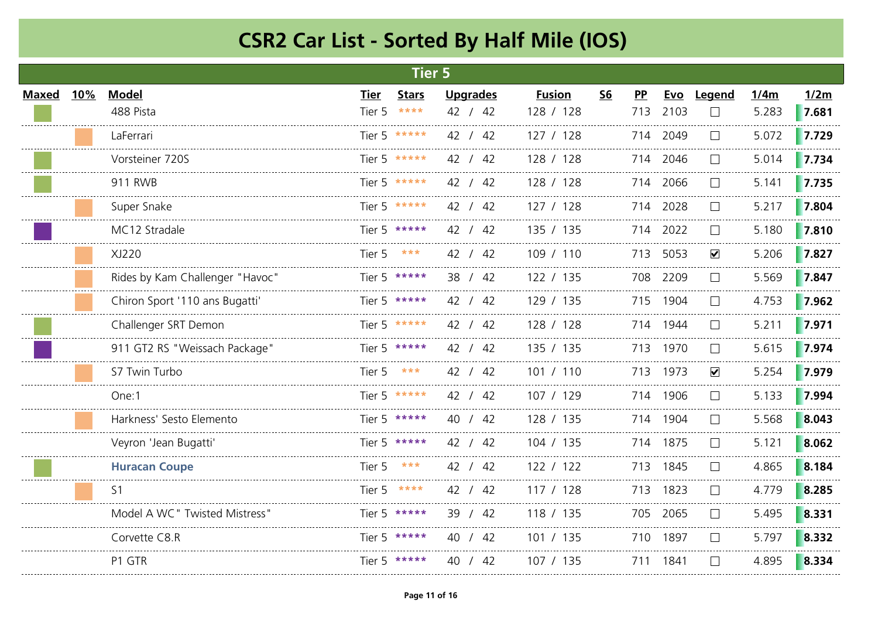|              |     |                                 |              | <b>Tier 5</b> |                 |               |           |           |          |                      |       |       |
|--------------|-----|---------------------------------|--------------|---------------|-----------------|---------------|-----------|-----------|----------|----------------------|-------|-------|
| <b>Maxed</b> | 10% | <b>Model</b>                    | Tier         | <b>Stars</b>  | <b>Upgrades</b> | <b>Fusion</b> | <b>S6</b> | <b>PP</b> | Evo      | Legend               | 1/4m  | 1/2m  |
|              |     | 488 Pista                       | Tier 5       | $* * * * *$   | 42 / 42         | 128 / 128     |           | 713       | 2103     |                      | 5.283 | 7.681 |
|              |     | LaFerrari                       |              | Tier 5 *****  | 42 / 42         | 127/128       |           |           | 714 2049 |                      | 5.072 | 7.729 |
|              |     | Vorsteiner 720S                 |              | Tier 5 *****  | 42 / 42         | 128 / 128     |           |           | 714 2046 |                      | 5.014 | 7.734 |
|              |     | 911 RWB                         |              | Tier 5 *****  | 42 / 42         | 128 / 128     |           |           | 714 2066 |                      | 5.141 | 7.735 |
|              |     | Super Snake                     |              | Tier 5 *****  | 42 / 42         | 127 / 128     |           |           | 714 2028 |                      | 5.217 | 7.804 |
|              |     | MC12 Stradale                   |              | Tier 5 *****  | 42 / 42         | 135 / 135     |           |           | 714 2022 |                      | 5.180 | 7.810 |
|              |     | XJ220                           | Tier 5 $***$ |               | 42 / 42         | 109 / 110     |           |           | 713 5053 | $\blacktriangledown$ | 5.206 | 7.827 |
|              |     | Rides by Kam Challenger "Havoc" |              | Tier 5 *****  | 38 / 42         | 122 / 135     |           |           | 708 2209 |                      | 5.569 | 7.847 |
|              |     | Chiron Sport '110 ans Bugatti'  |              | Tier 5 *****  | 42 / 42         | 129 / 135     |           |           | 715 1904 |                      | 4.753 | 7.962 |
|              |     | Challenger SRT Demon            |              | Tier 5 *****  | 42 / 42         | 128 / 128     |           |           | 714 1944 |                      | 5.211 | 7.971 |
|              |     | 911 GT2 RS "Weissach Package"   |              | Tier 5 *****  | 42 / 42         | 135 / 135     |           |           | 713 1970 | $\vert \ \ \vert$    | 5.615 | 7.974 |
|              |     | S7 Twin Turbo                   | Tier 5       | ***           | 42 / 42         | 101 / 110     |           |           | 713 1973 | $\blacktriangledown$ | 5.254 | 7.979 |
|              |     | One:1                           |              | Tier 5 *****  | 42 / 42         | 107 / 129     |           |           | 714 1906 |                      | 5.133 | 7.994 |
|              |     | Harkness' Sesto Elemento        |              | Tier 5 *****  | 40 / 42         | 128 / 135     |           |           | 714 1904 |                      | 5.568 | 8.043 |
|              |     | Veyron 'Jean Bugatti'           |              | Tier 5 *****  | 42 / 42         | 104 / 135     |           |           | 714 1875 |                      | 5.121 | 8.062 |
|              |     | <b>Huracan Coupe</b>            | Tier 5 $***$ |               | 42 / 42         | 122 / 122     |           |           | 713 1845 |                      | 4.865 | 8.184 |
|              |     | S <sub>1</sub>                  |              | Tier 5 $****$ | 42 / 42         | 117 / 128     |           |           | 713 1823 |                      | 4.779 | 8.285 |
|              |     | Model A WC" Twisted Mistress"   |              | Tier 5 *****  | 39 / 42         | 118 / 135     |           |           | 705 2065 |                      | 5.495 | 8.331 |
|              |     | Corvette C8.R                   |              | Tier 5 *****  | 40 / 42         | 101 / 135     |           |           | 710 1897 |                      | 5.797 | 8.332 |
|              |     | P1 GTR                          |              | Tier 5 *****  | 40 / 42         | 107 / 135     |           |           | 711 1841 |                      | 4.895 | 8.334 |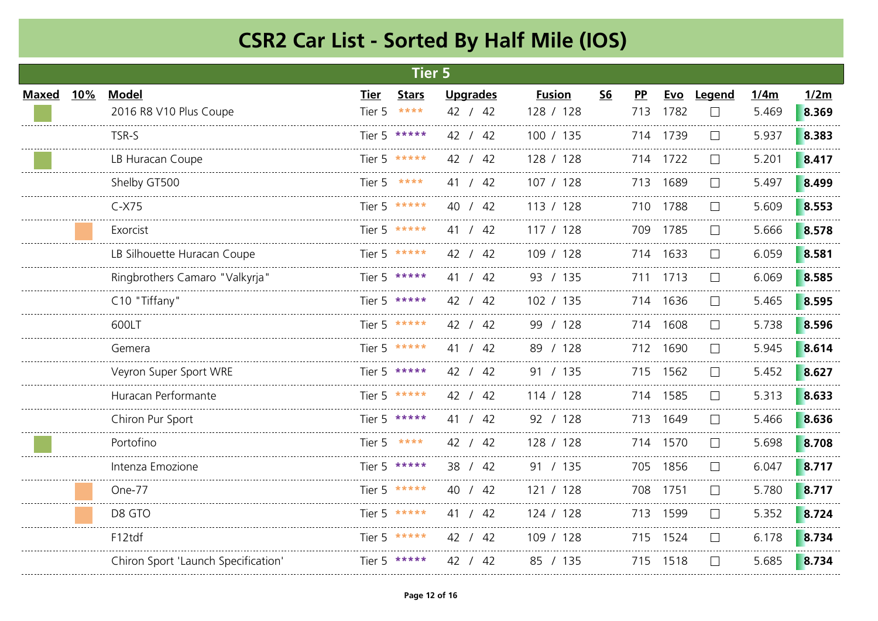|              |     |                                     |        | <b>Tier 5</b> |                 |               |           |           |          |                   |       |       |
|--------------|-----|-------------------------------------|--------|---------------|-----------------|---------------|-----------|-----------|----------|-------------------|-------|-------|
| <b>Maxed</b> | 10% | <b>Model</b>                        | Tier   | <b>Stars</b>  | <b>Upgrades</b> | <b>Fusion</b> | <b>S6</b> | <b>PP</b> |          | Evo Legend        | 1/4m  | 1/2m  |
|              |     | 2016 R8 V10 Plus Coupe              | Tier 5 | $****$        | 42 / 42         | 128 / 128     |           | 713       | 1782     |                   | 5.469 | 8.369 |
|              |     | TSR-S                               |        | Tier 5 *****  | 42 / 42         | 100 / 135     |           |           | 714 1739 |                   | 5.937 | 8.383 |
|              |     | LB Huracan Coupe                    |        | Tier 5 *****  | 42 / 42         | 128 / 128     |           |           | 714 1722 |                   | 5.201 | 8.417 |
|              |     | Shelby GT500                        | Tier 5 |               | 41 / 42         | 107 / 128     |           | 713       | 1689     |                   | 5.497 | 8.499 |
|              |     | $C-X75$                             |        | Tier 5 *****  | 40 / 42         | 113 / 128     |           |           | 710 1788 |                   | 5.609 | 8.553 |
|              |     | Exorcist                            |        | Tier 5 *****  | 41 / 42         | 117 / 128     |           |           | 709 1785 |                   | 5.666 | 8.578 |
|              |     | LB Silhouette Huracan Coupe         |        | Tier 5 *****  | 42 / 42         | 109 / 128     |           |           | 714 1633 | $\vert \ \ \vert$ | 6.059 | 8.581 |
|              |     | Ringbrothers Camaro "Valkyrja"      |        | Tier 5 *****  | 41 / 42         | 93 / 135      |           |           | 711 1713 |                   | 6.069 | 8.585 |
|              |     | C10 "Tiffany"                       |        | Tier 5 *****  | 42 / 42         | 102 / 135     |           |           | 714 1636 |                   | 5.465 | 8.595 |
|              |     | 600LT                               |        | Tier 5 *****  | 42 / 42         | 99 / 128      |           |           | 714 1608 |                   | 5.738 | 8.596 |
|              |     | Gemera                              |        | Tier 5 *****  | 41 / 42         | 89 / 128      |           |           | 712 1690 | $\vert \ \ \vert$ | 5.945 | 8.614 |
|              |     | Veyron Super Sport WRE              |        | Tier 5 *****  | 42 / 42         | 91 / 135      |           |           | 715 1562 |                   | 5.452 | 8.627 |
|              |     | Huracan Performante                 |        | Tier 5 *****  | 42 / 42         | 114 / 128     |           |           | 714 1585 |                   | 5.313 | 8.633 |
|              |     | Chiron Pur Sport                    |        | Tier 5 *****  | 41 / 42         | 92 / 128      |           |           | 713 1649 |                   | 5.466 | 8.636 |
|              |     | Portofino                           |        | Tier 5 ****   | 42 / 42         | 128 / 128     |           |           | 714 1570 |                   | 5.698 | 8.708 |
|              |     | Intenza Emozione                    |        | Tier 5 *****  | 38 / 42         | 91 / 135      |           |           | 705 1856 |                   | 6.047 | 8.717 |
|              |     | One-77                              |        | Tier 5 *****  | 40 / 42         | 121 / 128     |           |           | 708 1751 |                   | 5.780 | 8.717 |
|              |     | D8 GTO                              |        | Tier 5 *****  | 41 / 42         | 124 / 128     |           |           | 713 1599 |                   | 5.352 | 8.724 |
|              |     | F12tdf                              |        | Tier 5 *****  | 42 / 42         | 109 / 128     |           |           | 715 1524 |                   | 6.178 | 8.734 |
|              |     | Chiron Sport 'Launch Specification' |        | Tier 5 *****  | 42 / 42         | 85 / 135      |           |           | 715 1518 |                   | 5.685 | 8.734 |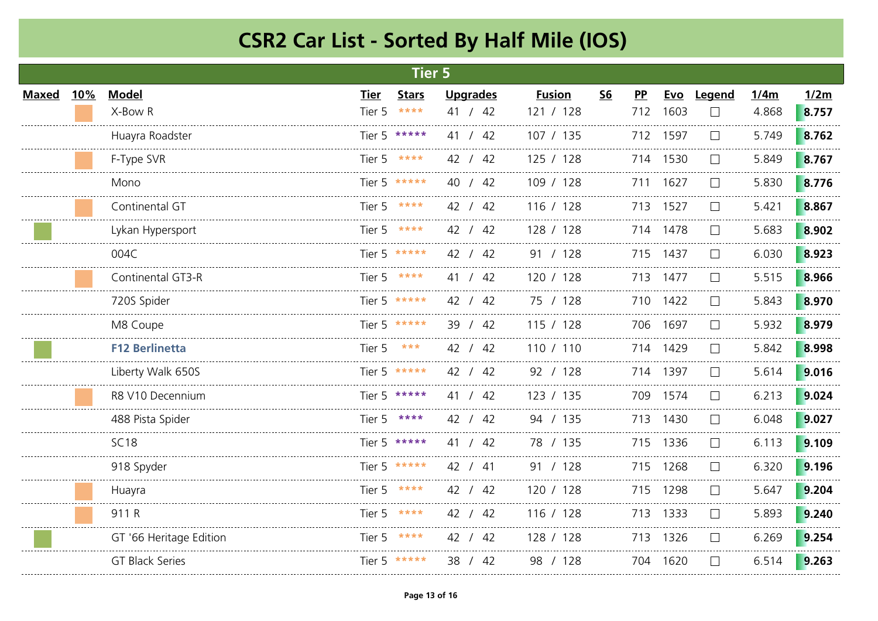|              |     |                         |             | <b>Tier 5</b> |                 |               |           |           |          |              |       |       |
|--------------|-----|-------------------------|-------------|---------------|-----------------|---------------|-----------|-----------|----------|--------------|-------|-------|
| <b>Maxed</b> | 10% | <b>Model</b>            | <b>Tier</b> | <b>Stars</b>  | <b>Upgrades</b> | <b>Fusion</b> | <u>S6</u> | <b>PP</b> |          | Evo Legend   | 1/4m  | 1/2m  |
|              |     | X-Bow R                 | Tier 5      | $* * * * *$   | 41 / 42         | 121 / 128     |           | 712       | 1603     |              | 4.868 | 8.757 |
|              |     | Huayra Roadster         |             | Tier 5 *****  | 41 / 42         | 107 / 135     |           |           | 712 1597 |              | 5.749 | 8.762 |
|              |     | F-Type SVR              |             | Tier 5 ****   | 42 / 42         | 125 / 128     |           |           | 714 1530 | $\Box$       | 5.849 | 8.767 |
|              |     | Mono                    |             | Tier 5 *****  | 40 / 42         | 109 / 128     |           | 711       | 1627     |              | 5.830 | 8.776 |
|              |     | Continental GT          |             | Tier 5 ****   | 42 / 42         | 116 / 128     |           |           | 713 1527 |              | 5.421 | 8.867 |
|              |     | Lykan Hypersport        |             | Tier 5 ****   | 42 / 42         | 128 / 128     |           |           | 714 1478 |              | 5.683 | 8.902 |
|              |     | 004C                    |             | Tier 5 *****  | 42 / 42         | 91 / 128      |           |           | 715 1437 | $\mathsf{L}$ | 6.030 | 8.923 |
|              |     | Continental GT3-R       |             | Tier 5 ****   | 41 / 42         | 120 / 128     |           |           | 713 1477 |              | 5.515 | 8.966 |
|              |     | 720S Spider             |             | Tier 5 *****  | 42 / 42         | 75 / 128      |           |           | 710 1422 |              | 5.843 | 8.970 |
|              |     | M8 Coupe                |             | Tier 5 *****  | 39 / 42         | 115 / 128     |           |           | 706 1697 |              | 5.932 | 8.979 |
|              |     | <b>F12 Berlinetta</b>   | Tier 5      | ***           | 42 / 42         | 110 / 110     |           |           | 714 1429 |              | 5.842 | 8.998 |
|              |     | Liberty Walk 650S       |             | Tier 5 *****  | 42 / 42         | 92 / 128      |           |           | 714 1397 |              | 5.614 | 9.016 |
|              |     | R8 V10 Decennium        |             | Tier 5 *****  | 41 / 42         | 123 / 135     |           |           | 709 1574 |              | 6.213 | 9.024 |
|              |     | 488 Pista Spider        |             | Tier 5 ****   | 42 / 42         | 94 / 135      |           |           | 713 1430 | $\mathsf{L}$ | 6.048 | 9.027 |
|              |     | SC <sub>18</sub>        |             | Tier 5 *****  | 41 / 42         | 78 / 135      |           |           | 715 1336 |              | 6.113 | 9.109 |
|              |     | 918 Spyder              |             | Tier 5 *****  | 42 / 41         | 91 / 128      |           |           | 715 1268 |              | 6.320 | 9.196 |
|              |     | Huayra                  |             | Tier 5 $***$  | 42 / 42         | 120 / 128     |           |           | 715 1298 |              | 5.647 | 9.204 |
|              |     | 911 R                   |             | Tier 5 ****   | 42 / 42         | 116 / 128     |           |           | 713 1333 | $\mathsf{L}$ | 5.893 | 9.240 |
|              |     | GT '66 Heritage Edition |             | Tier 5 ****   | 42 / 42         | 128 / 128     |           |           | 713 1326 |              | 6.269 | 9.254 |
|              |     | GT Black Series         |             | Tier 5 *****  | 38 / 42         | 98 / 128      |           |           | 704 1620 | $\mathsf{L}$ | 6.514 | 9.263 |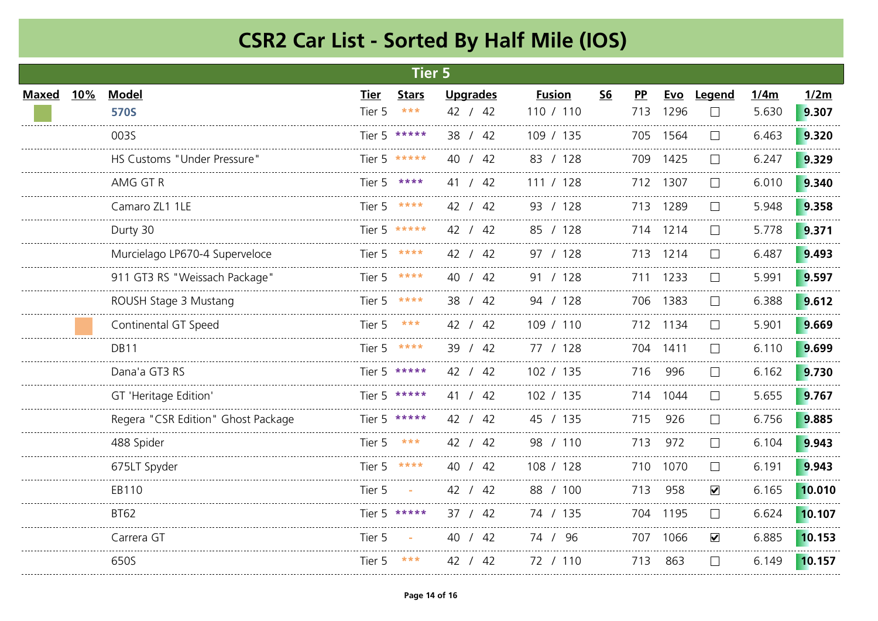|       |     |                                    |             | <b>Tier 5</b>     |                 |               |           |           |          |                      |       |        |
|-------|-----|------------------------------------|-------------|-------------------|-----------------|---------------|-----------|-----------|----------|----------------------|-------|--------|
| Maxed | 10% | <b>Model</b>                       | <b>Tier</b> | <b>Stars</b>      | <b>Upgrades</b> | <b>Fusion</b> | <b>S6</b> | <b>PP</b> | Evo      | Legend               | 1/4m  | 1/2m   |
|       |     | <b>570S</b>                        | Tier 5      | $\star\star\star$ | 42 / 42         | 110 / 110     |           | 713       | 1296     |                      | 5.630 | 9.307  |
|       |     | 003S                               |             | Tier 5 *****      | 38 / 42         | 109 / 135     |           |           | 705 1564 | $\vert \ \ \vert$    | 6.463 | 9.320  |
|       |     | HS Customs "Under Pressure"        |             | Tier 5 *****      | 40 / 42         | 83 / 128      |           |           | 709 1425 | $\Box$               | 6.247 | 9.329  |
|       |     | AMG GT R                           |             | Tier 5 ****       | 41 / 42         | 111 / 128     |           |           | 712 1307 |                      | 6.010 | 9.340  |
|       |     | Camaro ZL1 1LE                     |             | Tier 5 ****       | 42 / 42         | 93 / 128      |           |           | 713 1289 |                      | 5.948 | 9.358  |
|       |     | Durty 30                           |             | Tier 5 *****      | 42 / 42         | 85 / 128      |           |           | 714 1214 |                      | 5.778 | 9.371  |
|       |     | Murcielago LP670-4 Superveloce     |             | Tier 5 ****       | 42 / 42         | 97 / 128      |           |           | 713 1214 | $\vert \ \ \vert$    | 6.487 | 9.493  |
|       |     | 911 GT3 RS "Weissach Package"      |             | Tier 5 ****       | 40 / 42         | 91 / 128      |           | 711       | 1233     |                      | 5.991 | 9.597  |
|       |     | ROUSH Stage 3 Mustang              |             | Tier 5 ****       | 38 / 42         | 94 / 128      |           |           | 706 1383 |                      | 6.388 | 9.612  |
|       |     | Continental GT Speed               | Tier 5      | ***               | 42 / 42         | 109 / 110     |           |           | 712 1134 |                      | 5.901 | 9.669  |
|       |     | <b>DB11</b>                        | Tier 5      | ****              | 39 / 42         | 77 / 128      |           |           | 704 1411 | $\vert \ \ \vert$    | 6.110 | 9.699  |
|       |     | Dana'a GT3 RS                      |             | Tier 5 *****      | 42 / 42         | 102 / 135     |           | 716       | 996      |                      | 6.162 | 9.730  |
|       |     | GT 'Heritage Edition'              |             | Tier 5 *****      | 41 / 42         | 102 / 135     |           |           | 714 1044 |                      | 5.655 | 9.767  |
|       |     | Regera "CSR Edition" Ghost Package |             | Tier 5 *****      | 42 / 42         | 45 / 135      |           | 715       | 926      | $\vert \ \ \vert$    | 6.756 | 9.885  |
|       |     | 488 Spider                         | Tier 5      | ***               | 42 / 42         | 98 / 110      |           | 713       | 972      | $\Box$               | 6.104 | 9.943  |
|       |     | 675LT Spyder                       | Tier 5      | ****              | 40 / 42         | 108 / 128     |           |           | 710 1070 |                      | 6.191 | 9.943  |
|       |     | EB110                              | Tier 5      |                   | 42 / 42         | 88 / 100      |           | 713       | 958      | $\blacktriangledown$ | 6.165 | 10.010 |
|       |     | <b>BT62</b>                        |             | Tier 5 *****      | 37 / 42         | 74 / 135      |           |           | 704 1195 | $\Box$               | 6.624 | 10.107 |
|       |     | Carrera GT                         | Tier 5      |                   | 40 / 42         | 74 / 96       |           |           | 707 1066 | $\blacktriangledown$ | 6.885 | 10.153 |
|       |     | 650S                               | Tier 5      | ***               | 42 / 42         | 72 / 110      |           | 713       | 863      |                      | 6.149 | 10.157 |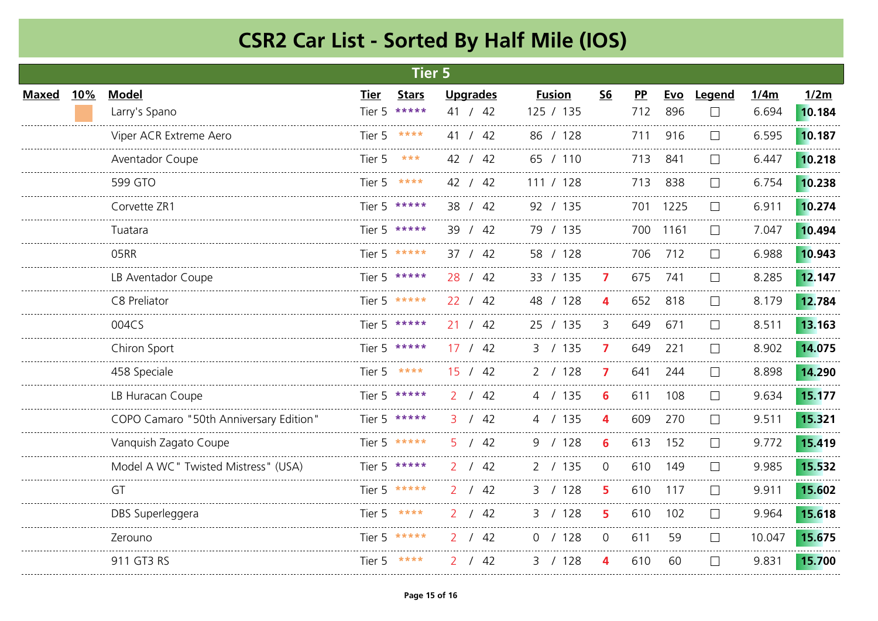| <b>Tier 5</b> |            |                                        |             |               |                      |               |           |           |      |              |        |        |
|---------------|------------|----------------------------------------|-------------|---------------|----------------------|---------------|-----------|-----------|------|--------------|--------|--------|
| Maxed         | <b>10%</b> | <b>Model</b>                           | <b>Tier</b> | <b>Stars</b>  | <b>Upgrades</b>      | <b>Fusion</b> | <b>S6</b> | <b>PP</b> | Evo  | Legend       | 1/4m   | 1/2m   |
|               |            | Larry's Spano                          | Tier 5      | $* * * * * *$ | 41 / 42              | 125 / 135     |           | 712       | 896  |              | 6.694  | 10.184 |
|               |            | Viper ACR Extreme Aero                 | Tier 5      | ****          | 41 / 42              | 86 / 128      |           | 711       | 916  | $\mathbf{1}$ | 6.595  | 10.187 |
|               |            | Aventador Coupe                        | Tier 5      | ***           | 42 / 42              | 65 / 110      |           | 713       | 841  | $\mathbf{L}$ | 6.447  | 10.218 |
|               |            | 599 GTO                                | Tier 5      | ****          | 42 / 42              | 111 / 128     |           | 713       | 838  |              | 6.754  | 10.238 |
|               |            | Corvette ZR1                           |             | Tier 5 *****  | 38 / 42              | 92 / 135      |           | 701       | 1225 |              | 6.911  | 10.274 |
|               |            | Tuatara                                |             | Tier 5 *****  | 39 / 42              | 79 / 135      |           | 700       | 1161 | $\perp$      | 7.047  | 10.494 |
|               |            | 05RR                                   |             | Tier 5 *****  | 37 / 42              | 58 / 128      |           | 706       | 712  | $\Box$       | 6.988  | 10.943 |
|               |            | LB Aventador Coupe                     |             | Tier 5 *****  | 28 / 42              | 33 / 135      | 7         | 675       | 741  |              | 8.285  | 12.147 |
|               |            | C8 Preliator                           |             | Tier 5 *****  | 22 / 42              | 48 / 128      | 4         | 652       | 818  |              | 8.179  | 12.784 |
|               |            | 004CS                                  |             | Tier 5 *****  | 21 / 42              | 25 / 135      | 3         | 649       | 671  | $\mathbf{L}$ | 8.511  | 13.163 |
|               |            | Chiron Sport                           |             | Tier 5 *****  | 17 / 42              | 3 / 135       | 7         | 649       | 221  | $\Box$       | 8.902  | 14.075 |
|               |            | 458 Speciale                           |             | Tier 5 ****   | 15 / 42              | 2 / 128       | 7         | 641       | 244  | $\mathbf{L}$ | 8.898  | 14.290 |
|               |            | LB Huracan Coupe                       |             | Tier 5 *****  | /42<br>$\mathcal{P}$ | 4 / 135       | 6         | 611       | 108  |              | 9.634  | 15.177 |
|               |            | COPO Camaro "50th Anniversary Edition" |             | Tier 5 *****  | 3 / 42               | 4 / 135       | 4         | 609       | 270  | $\mathbf{L}$ | 9.511  | 15.321 |
|               |            | Vanquish Zagato Coupe                  |             | Tier 5 *****  | 5 / 42               | 9 / 128       | 6         | 613       | 152  | $\mathbf{L}$ | 9.772  | 15.419 |
|               |            | Model A WC" Twisted Mistress" (USA)    |             | Tier 5 *****  | /42<br>2             | 2 / 135       | $\Omega$  | 610       | 149  |              | 9.985  | 15.532 |
|               |            | GT                                     |             | Tier 5 *****  | /42                  | 3 / 128       | 5.        | 610       | 117  |              | 9.911  | 15.602 |
|               |            | DBS Superleggera                       |             | Tier 5 ****   | 2 / 42               | 3 / 128       | 5         | 610       | 102  | $\mathbf{L}$ | 9.964  | 15.618 |
|               |            | Zerouno                                |             | Tier 5 *****  | 2 / 42               | 0 / 128       | 0         | 611       | 59   |              | 10.047 | 15.675 |
|               |            | 911 GT3 RS                             |             | Tier 5 ****   | 42                   | 3 / 128       | 4         | 610       | 60   | $\mathbf{L}$ | 9.831  | 15.700 |